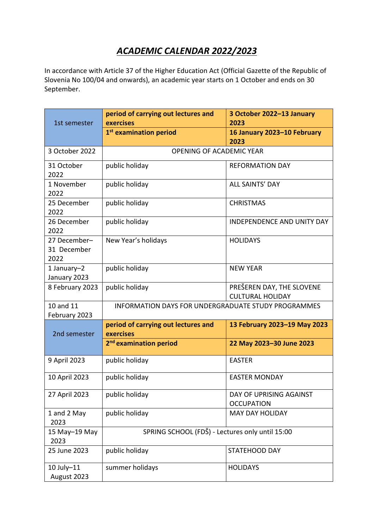# *ACADEMIC CALENDAR 2022/2023*

In accordance with Article 37 of the Higher Education Act (Official Gazette of the Republic of Slovenia No 100/04 and onwards), an academic year starts on 1 October and ends on 30 September.

| 1st semester                        | period of carrying out lectures and<br>exercises           | 3 October 2022-13 January<br>2023                    |
|-------------------------------------|------------------------------------------------------------|------------------------------------------------------|
|                                     | 1 <sup>st</sup> examination period                         | 16 January 2023-10 February<br>2023                  |
| 3 October 2022                      | OPENING OF ACADEMIC YEAR                                   |                                                      |
| 31 October<br>2022                  | public holiday                                             | <b>REFORMATION DAY</b>                               |
| 1 November<br>2022                  | public holiday                                             | <b>ALL SAINTS' DAY</b>                               |
| 25 December<br>2022                 | public holiday                                             | <b>CHRISTMAS</b>                                     |
| 26 December<br>2022                 | public holiday                                             | <b>INDEPENDENCE AND UNITY DAY</b>                    |
| 27 December-<br>31 December<br>2022 | New Year's holidays                                        | <b>HOLIDAYS</b>                                      |
| 1 January-2<br>January 2023         | public holiday                                             | <b>NEW YEAR</b>                                      |
| 8 February 2023                     | public holiday                                             | PREŠEREN DAY, THE SLOVENE<br><b>CULTURAL HOLIDAY</b> |
| 10 and 11<br>February 2023          | <b>INFORMATION DAYS FOR UNDERGRADUATE STUDY PROGRAMMES</b> |                                                      |
| 2nd semester                        | period of carrying out lectures and<br>exercises           | 13 February 2023-19 May 2023                         |
|                                     | 2 <sup>nd</sup> examination period                         | 22 May 2023-30 June 2023                             |
| 9 April 2023                        | public holiday                                             | <b>EASTER</b>                                        |
| 10 April 2023                       | public holiday                                             | <b>EASTER MONDAY</b>                                 |
| 27 April 2023                       | public holiday                                             | DAY OF UPRISING AGAINST<br><b>OCCUPATION</b>         |
| 1 and 2 May<br>2023                 | public holiday                                             | <b>MAY DAY HOLIDAY</b>                               |
| 15 May-19 May<br>2023               | SPRING SCHOOL (FDŠ) - Lectures only until 15:00            |                                                      |
| 25 June 2023                        | public holiday                                             | STATEHOOD DAY                                        |
| 10 July-11<br>August 2023           | summer holidays                                            | <b>HOLIDAYS</b>                                      |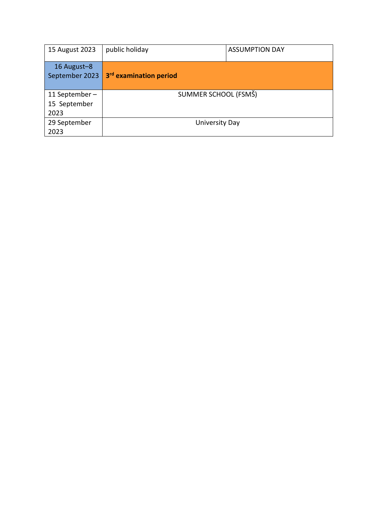| 15 August 2023                         | public holiday                     | <b>ASSUMPTION DAY</b> |
|----------------------------------------|------------------------------------|-----------------------|
| 16 August-8<br>September 2023          | 3 <sup>rd</sup> examination period |                       |
| 11 September -<br>15 September<br>2023 | SUMMER SCHOOL (FSMŠ)               |                       |
| 29 September<br>2023                   | University Day                     |                       |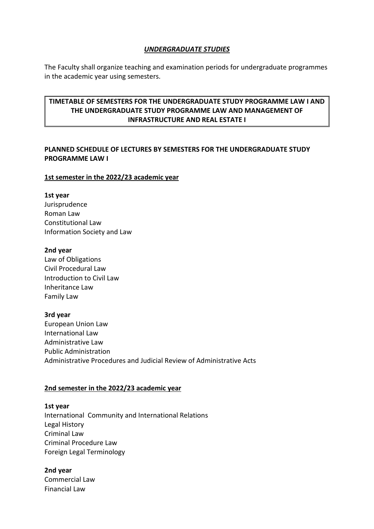#### *UNDERGRADUATE STUDIES*

The Faculty shall organize teaching and examination periods for undergraduate programmes in the academic year using semesters.

# **TIMETABLE OF SEMESTERS FOR THE UNDERGRADUATE STUDY PROGRAMME LAW I AND THE UNDERGRADUATE STUDY PROGRAMME LAW AND MANAGEMENT OF INFRASTRUCTURE AND REAL ESTATE I**

# **PLANNED SCHEDULE OF LECTURES BY SEMESTERS FOR THE UNDERGRADUATE STUDY PROGRAMME LAW I**

#### **1st semester in the 2022/23 academic year**

#### **1st year**

Jurisprudence Roman Law Constitutional Law Information Society and Law

#### **2nd year**

Law of Obligations Civil Procedural Law Introduction to Civil Law Inheritance Law Family Law

#### **3rd year**

European Union Law International Law Administrative Law Public Administration Administrative Procedures and Judicial Review of Administrative Acts

### **2nd semester in the 2022/23 academic year**

# **1st year** International Community and International Relations Legal History Criminal Law Criminal Procedure Law Foreign Legal Terminology

### **2nd year**

Commercial Law Financial Law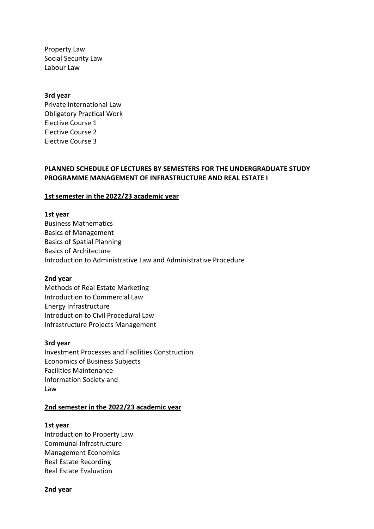Property Law Social Security Law Labour Law

#### **3rd year**

Private International Law Obligatory Practical Work Elective Course 1 Elective Course 2 Elective Course 3

## **PLANNED SCHEDULE OF LECTURES BY SEMESTERS FOR THE UNDERGRADUATE STUDY PROGRAMME MANAGEMENT OF INFRASTRUCTURE AND REAL ESTATE I**

#### **1st semester in the 2022/23 academic year**

#### **1st year**

Business Mathematics Basics of Management Basics of Spatial Planning Basics of Architecture Introduction to Administrative Law and Administrative Procedure

#### **2nd year**

Methods of Real Estate Marketing Introduction to Commercial Law Energy Infrastructure Introduction to Civil Procedural Law Infrastructure Projects Management

#### **3rd year**

Investment Processes and Facilities Construction Economics of Business Subjects Facilities Maintenance Information Society and Law

#### **2nd semester in the 2022/23 academic year**

#### **1st year**

Introduction to Property Law Communal Infrastructure Management Economics Real Estate Recording Real Estate Evaluation

#### **2nd year**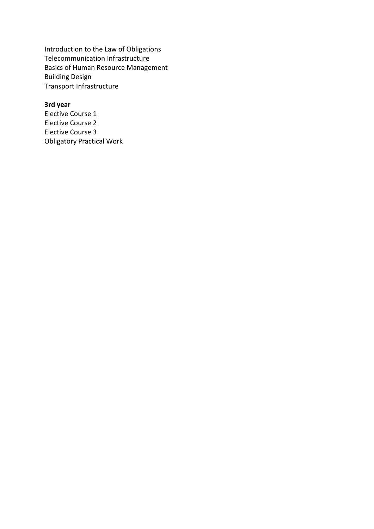Introduction to the Law of Obligations Telecommunication Infrastructure Basics of Human Resource Management Building Design Transport Infrastructure

## **3rd year**

Elective Course 1 Elective Course 2 Elective Course 3 Obligatory Practical Work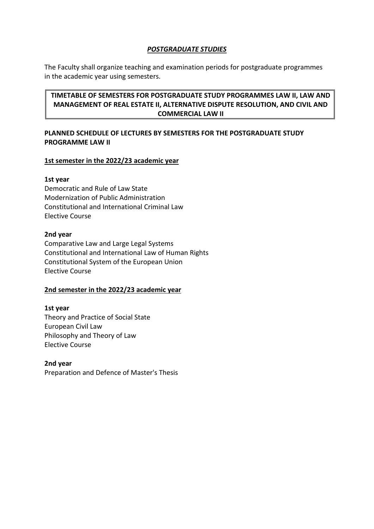# *POSTGRADUATE STUDIES*

The Faculty shall organize teaching and examination periods for postgraduate programmes in the academic year using semesters.

# **TIMETABLE OF SEMESTERS FOR POSTGRADUATE STUDY PROGRAMMES LAW II, LAW AND MANAGEMENT OF REAL ESTATE II, ALTERNATIVE DISPUTE RESOLUTION, AND CIVIL AND COMMERCIAL LAW II**

# **PLANNED SCHEDULE OF LECTURES BY SEMESTERS FOR THE POSTGRADUATE STUDY PROGRAMME LAW II**

# **1st semester in the 2022/23 academic year**

## **1st year**

Democratic and Rule of Law State Modernization of Public Administration Constitutional and International Criminal Law Elective Course

## **2nd year**

Comparative Law and Large Legal Systems Constitutional and International Law of Human Rights Constitutional System of the European Union Elective Course

# **2nd semester in the 2022/23 academic year**

## **1st year** Theory and Practice of Social State European Civil Law Philosophy and Theory of Law Elective Course

## **2nd year** Preparation and Defence of Master's Thesis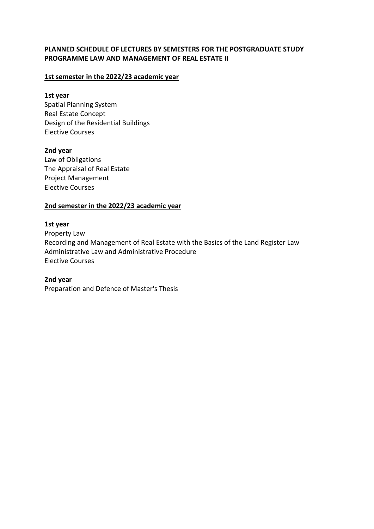## **PLANNED SCHEDULE OF LECTURES BY SEMESTERS FOR THE POSTGRADUATE STUDY PROGRAMME LAW AND MANAGEMENT OF REAL ESTATE II**

## **1st semester in the 2022/23 academic year**

### **1st year**

Spatial Planning System Real Estate Concept Design of the Residential Buildings Elective Courses

## **2nd year**

Law of Obligations The Appraisal of Real Estate Project Management Elective Courses

### **2nd semester in the 2022/23 academic year**

#### **1st year**

Property Law Recording and Management of Real Estate with the Basics of the Land Register Law Administrative Law and Administrative Procedure Elective Courses

### **2nd year**

Preparation and Defence of Master's Thesis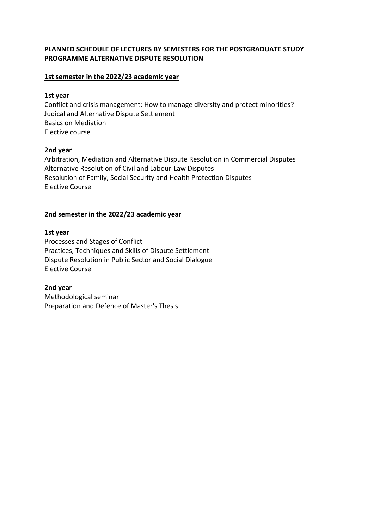## **PLANNED SCHEDULE OF LECTURES BY SEMESTERS FOR THE POSTGRADUATE STUDY PROGRAMME ALTERNATIVE DISPUTE RESOLUTION**

## **1st semester in the 2022/23 academic year**

### **1st year**

Conflict and crisis management: How to manage diversity and protect minorities? Judical and Alternative Dispute Settlement Basics on Mediation Elective course

## **2nd year**

Arbitration, Mediation and Alternative Dispute Resolution in Commercial Disputes Alternative Resolution of Civil and Labour-Law Disputes Resolution of Family, Social Security and Health Protection Disputes Elective Course

# **2nd semester in the 2022/23 academic year**

## **1st year**

Processes and Stages of Conflict Practices, Techniques and Skills of Dispute Settlement Dispute Resolution in Public Sector and Social Dialogue Elective Course

**2nd year** Methodological seminar Preparation and Defence of Master's Thesis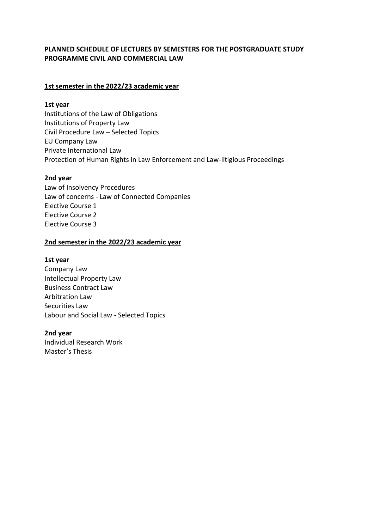## **PLANNED SCHEDULE OF LECTURES BY SEMESTERS FOR THE POSTGRADUATE STUDY PROGRAMME CIVIL AND COMMERCIAL LAW**

## **1st semester in the 2022/23 academic year**

#### **1st year**

Institutions of the Law of Obligations Institutions of Property Law Civil Procedure Law – Selected Topics EU Company Law Private International Law Protection of Human Rights in Law Enforcement and Law-litigious Proceedings

### **2nd year**

Law of Insolvency Procedures Law of concerns - Law of Connected Companies Elective Course 1 Elective Course 2 Elective Course 3

### **2nd semester in the 2022/23 academic year**

### **1st year**

Company Law Intellectual Property Law Business Contract Law Arbitration Law Securities Law Labour and Social Law - Selected Topics

### **2nd year**

Individual Research Work Master's Thesis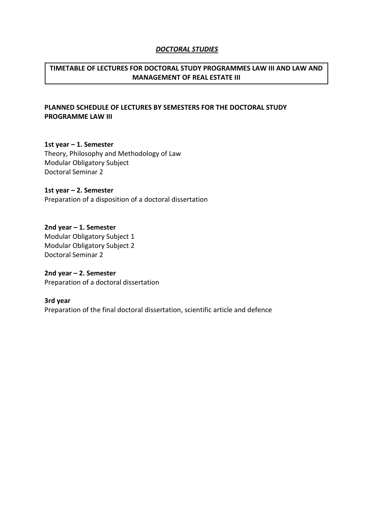#### *DOCTORAL STUDIES*

# **TIMETABLE OF LECTURES FOR DOCTORAL STUDY PROGRAMMES LAW III AND LAW AND MANAGEMENT OF REAL ESTATE III**

# **PLANNED SCHEDULE OF LECTURES BY SEMESTERS FOR THE DOCTORAL STUDY PROGRAMME LAW III**

**1st year – 1. Semester**  Theory, Philosophy and Methodology of Law Modular Obligatory Subject Doctoral Seminar 2

**1st year – 2. Semester**  Preparation of a disposition of a doctoral dissertation

**2nd year – 1. Semester**  Modular Obligatory Subject 1 Modular Obligatory Subject 2 Doctoral Seminar 2

**2nd year – 2. Semester**  Preparation of a doctoral dissertation

**3rd year** Preparation of the final doctoral dissertation, scientific article and defence